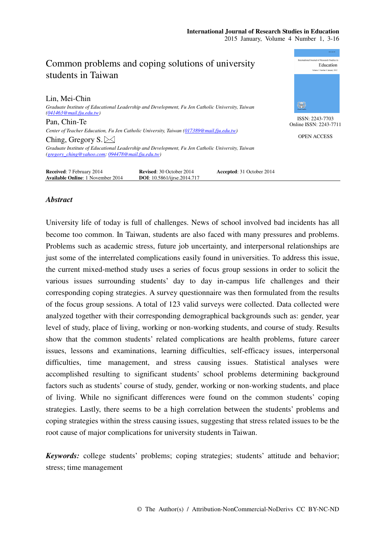

# *Abstract*

University life of today is full of challenges. News of school involved bad incidents has all become too common. In Taiwan, students are also faced with many pressures and problems. Problems such as academic stress, future job uncertainty, and interpersonal relationships are just some of the interrelated complications easily found in universities. To address this issue, the current mixed-method study uses a series of focus group sessions in order to solicit the various issues surrounding students' day to day in-campus life challenges and their corresponding coping strategies. A survey questionnaire was then formulated from the results of the focus group sessions. A total of 123 valid surveys were collected. Data collected were analyzed together with their corresponding demographical backgrounds such as: gender, year level of study, place of living, working or non-working students, and course of study. Results show that the common students' related complications are health problems, future career issues, lessons and examinations, learning difficulties, self-efficacy issues, interpersonal difficulties, time management, and stress causing issues. Statistical analyses were accomplished resulting to significant students' school problems determining background factors such as students' course of study, gender, working or non-working students, and place of living. While no significant differences were found on the common students' coping strategies. Lastly, there seems to be a high correlation between the students' problems and coping strategies within the stress causing issues, suggesting that stress related issues to be the root cause of major complications for university students in Taiwan.

*Keywords:* college students' problems; coping strategies; students' attitude and behavior; stress; time management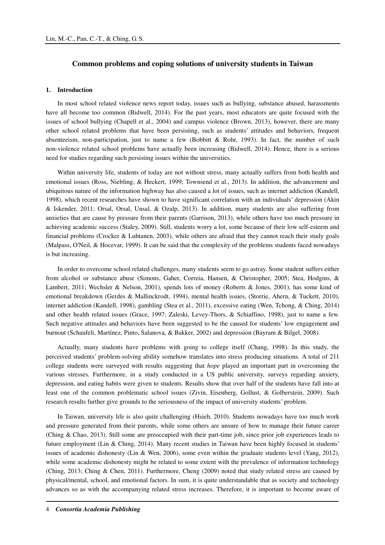# **Common problems and coping solutions of university students in Taiwan**

# **1. Introduction**

In most school related violence news report today, issues such as bullying, substance abused, harassments have all become too common (Bidwell, 2014). For the past years, most educators are quite focused with the issues of school bullying (Chapell et al., 2004) and campus violence (Brown, 2013), however, there are many other school related problems that have been persisting, such as students' attitudes and behaviors, frequent absenteeism, non-participation, just to name a few (Bobbitt & Rohr, 1993). In fact, the number of such non-violence related school problems have actually been increasing (Bidwell, 2014). Hence, there is a serious need for studies regarding such persisting issues within the universities.

Within university life, students of today are not without stress, many actually suffers from both health and emotional issues (Ross, Niebling, & Heckert, 1999; Townsend et al., 2013). In addition, the advancement and ubiquitous nature of the information highway has also caused a lot of issues, such as internet addiction (Kandell, 1998), which recent researches have shown to have significant correlation with an individuals' depression (Akin & Iskender, 2011; Orsal, Orsal, Unsal, & Ozalp, 2013). In addition, many students are also suffering from anxieties that are cause by pressure from their parents (Garrison, 2013), while others have too much pressure in achieving academic success (Staley, 2009). Still, students worry a lot, some because of their low self-esteem and financial problems (Crocker & Luhtanen, 2003), while others are afraid that they cannot reach their study goals (Malpass, O'Neil, & Hocevar, 1999). It can be said that the complexity of the problems students faced nowadays is but increasing.

In order to overcome school related challenges, many students seem to go astray. Some student suffers either from alcohol or substance abuse (Simons, Gaher, Correia, Hansen, & Christopher, 2005; Stea, Hodgins, & Lambert, 2011; Wechsler & Nelson, 2001), spends lots of money (Roberts & Jones, 2001), has some kind of emotional breakdown (Gerdes & Mallinckrodt, 1994), mental health issues, (Storrie, Ahern, & Tuckett, 2010), internet addiction (Kandell, 1998), gambling (Stea et al., 2011), excessive eating (Wen, Tchong, & Ching, 2014) and other health related issues (Grace, 1997; Zaleski, Levey-Thors, & Schiaffino, 1998), just to name a few. Such negative attitudes and behaviors have been suggested to be the caused for students' low engagement and burnout (Schaufeli, Martínez, Pinto, Salanova, & Bakker, 2002) and depression (Bayram & Bilgel, 2008).

Actually, many students have problems with going to college itself (Chang, 1998). In this study, the perceived students' problem-solving ability somehow translates into stress producing situations. A total of 211 college students were surveyed with results suggesting that *hope* played an important part in overcoming the various stresses. Furthermore, in a study conducted in a US public university, surveys regarding anxiety, depression, and eating habits were given to students. Results show that over half of the students have fall into at least one of the common problematic school issues (Zivin, Eisenberg, Gollust, & Golberstein, 2009). Such research results further give grounds to the seriousness of the impact of university students' problem.

In Taiwan, university life is also quite challenging (Hsieh, 2010). Students nowadays have too much work and pressure generated from their parents, while some others are unsure of how to manage their future career (Ching & Chao, 2013). Still some are preoccupied with their part-time job, since prior job experiences leads to future employment (Lin & Ching, 2014). Many recent studies in Taiwan have been highly focused in students' issues of academic dishonesty (Lin & Wen, 2006), some even within the graduate students level (Yang, 2012), while some academic dishonesty might be related to some extent with the prevalence of information technology (Ching, 2013; Ching & Chen, 2011). Furthermore, Cheng (2009) noted that study related stress are caused by physical/mental, school, and emotional factors. In sum, it is quite understandable that as society and technology advances so as with the accompanying related stress increases. Therefore, it is important to become aware of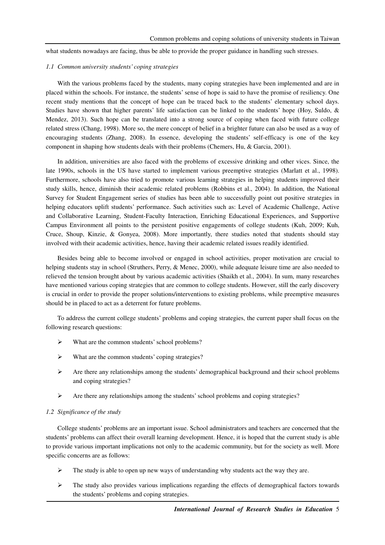what students nowadays are facing, thus be able to provide the proper guidance in handling such stresses.

## *1.1 Common university students' coping strategies*

With the various problems faced by the students, many coping strategies have been implemented and are in placed within the schools. For instance, the students' sense of hope is said to have the promise of resiliency. One recent study mentions that the concept of hope can be traced back to the students' elementary school days. Studies have shown that higher parents' life satisfaction can be linked to the students' hope (Hoy, Suldo, & Mendez, 2013). Such hope can be translated into a strong source of coping when faced with future college related stress (Chang, 1998). More so, the mere concept of belief in a brighter future can also be used as a way of encouraging students (Zhang, 2008). In essence, developing the students' self-efficacy is one of the key component in shaping how students deals with their problems (Chemers, Hu, & Garcia, 2001).

In addition, universities are also faced with the problems of excessive drinking and other vices. Since, the late 1990s, schools in the US have started to implement various preemptive strategies (Marlatt et al., 1998). Furthermore, schools have also tried to promote various learning strategies in helping students improved their study skills, hence, diminish their academic related problems (Robbins et al., 2004). In addition, the National Survey for Student Engagement series of studies has been able to successfully point out positive strategies in helping educators uplift students' performance. Such activities such as: Level of Academic Challenge, Active and Collaborative Learning, Student-Faculty Interaction, Enriching Educational Experiences, and Supportive Campus Environment all points to the persistent positive engagements of college students (Kuh, 2009; Kuh, Cruce, Shoup, Kinzie, & Gonyea, 2008). More importantly, there studies noted that students should stay involved with their academic activities, hence, having their academic related issues readily identified.

Besides being able to become involved or engaged in school activities, proper motivation are crucial to helping students stay in school (Struthers, Perry, & Menec, 2000), while adequate leisure time are also needed to relieved the tension brought about by various academic activities (Shaikh et al., 2004). In sum, many researches have mentioned various coping strategies that are common to college students. However, still the early discovery is crucial in order to provide the proper solutions/interventions to existing problems, while preemptive measures should be in placed to act as a deterrent for future problems.

To address the current college students' problems and coping strategies, the current paper shall focus on the following research questions:

- What are the common students' school problems?
- What are the common students' coping strategies?
- $\triangleright$  Are there any relationships among the students' demographical background and their school problems and coping strategies?
- $\triangleright$  Are there any relationships among the students' school problems and coping strategies?

## *1.2 Significance of the study*

College students' problems are an important issue. School administrators and teachers are concerned that the students' problems can affect their overall learning development. Hence, it is hoped that the current study is able to provide various important implications not only to the academic community, but for the society as well. More specific concerns are as follows:

- The study is able to open up new ways of understanding why students act the way they are.
- $\triangleright$  The study also provides various implications regarding the effects of demographical factors towards the students' problems and coping strategies.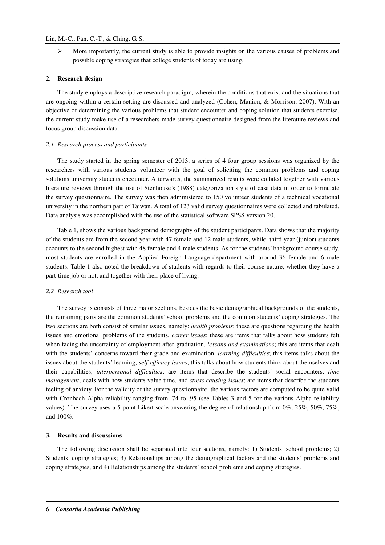$\triangleright$  More importantly, the current study is able to provide insights on the various causes of problems and possible coping strategies that college students of today are using.

#### **2. Research design**

The study employs a descriptive research paradigm, wherein the conditions that exist and the situations that are ongoing within a certain setting are discussed and analyzed (Cohen, Manion, & Morrison, 2007). With an objective of determining the various problems that student encounter and coping solution that students exercise, the current study make use of a researchers made survey questionnaire designed from the literature reviews and focus group discussion data.

## *2.1 Research process and participants*

The study started in the spring semester of 2013, a series of 4 four group sessions was organized by the researchers with various students volunteer with the goal of soliciting the common problems and coping solutions university students encounter. Afterwards, the summarized results were collated together with various literature reviews through the use of Stenhouse's (1988) categorization style of case data in order to formulate the survey questionnaire. The survey was then administered to 150 volunteer students of a technical vocational university in the northern part of Taiwan. A total of 123 valid survey questionnaires were collected and tabulated. Data analysis was accomplished with the use of the statistical software SPSS version 20.

Table 1, shows the various background demography of the student participants. Data shows that the majority of the students are from the second year with 47 female and 12 male students, while, third year (junior) students accounts to the second highest with 48 female and 4 male students. As for the students' background course study, most students are enrolled in the Applied Foreign Language department with around 36 female and 6 male students. Table 1 also noted the breakdown of students with regards to their course nature, whether they have a part-time job or not, and together with their place of living.

## *2.2 Research tool*

The survey is consists of three major sections, besides the basic demographical backgrounds of the students, the remaining parts are the common students' school problems and the common students' coping strategies. The two sections are both consist of similar issues, namely: *health problems*; these are questions regarding the health issues and emotional problems of the students, *career issues*; these are items that talks about how students felt when facing the uncertainty of employment after graduation, *lessons and examinations*; this are items that dealt with the students' concerns toward their grade and examination, *learning difficulties*; this items talks about the issues about the students' learning, *self-efficacy issues*; this talks about how students think about themselves and their capabilities, *interpersonal difficulties*; are items that describe the students' social encounters, *time management*; deals with how students value time, and *stress causing issues*; are items that describe the students feeling of anxiety. For the validity of the survey questionnaire, the various factors are computed to be quite valid with Cronbach Alpha reliability ranging from .74 to .95 (see Tables 3 and 5 for the various Alpha reliability values). The survey uses a 5 point Likert scale answering the degree of relationship from 0%, 25%, 50%, 75%, and 100%.

## **3. Results and discussions**

The following discussion shall be separated into four sections, namely: 1) Students' school problems; 2) Students' coping strategies; 3) Relationships among the demographical factors and the students' problems and coping strategies, and 4) Relationships among the students' school problems and coping strategies.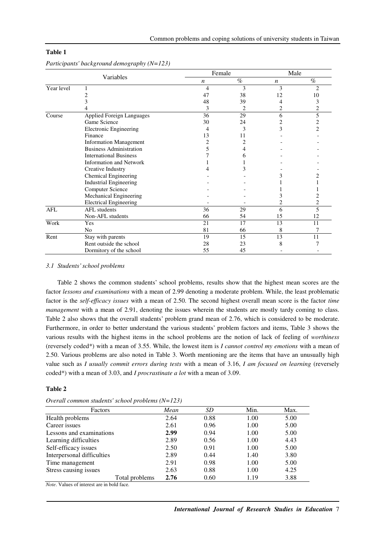|            |                                  | Female |      | Male |      |  |
|------------|----------------------------------|--------|------|------|------|--|
| Variables  |                                  | n      | $\%$ | n    | $\%$ |  |
| Year level |                                  | 4      | 3    | 3    | 2    |  |
|            | 2                                | 47     | 38   | 12   | 10   |  |
|            | 3                                | 48     | 39   |      | 3    |  |
|            |                                  | 3      | 2    | 2    | 2    |  |
| Course     | <b>Applied Foreign Languages</b> | 36     | 29   | 6    | 5    |  |
|            | Game Science                     | 30     | 24   | 2    | 2    |  |
|            | <b>Electronic Engineering</b>    | 4      | 3    | 3    | 2    |  |
|            | Finance                          | 13     | 11   |      |      |  |
|            | <b>Information Management</b>    | 2      | 2    |      |      |  |
|            | <b>Business Administration</b>   | 5      | 4    |      |      |  |
|            | <b>International Business</b>    |        | 6    |      |      |  |
|            | Information and Network          |        |      |      |      |  |
|            | Creative Industry                |        | 3    |      |      |  |
|            | Chemical Engineering             |        |      |      |      |  |
|            | <b>Industrial Engineering</b>    |        |      |      |      |  |
|            | <b>Computer Science</b>          |        |      |      |      |  |
|            | Mechanical Engineering           |        |      | 3    |      |  |
|            | <b>Electrical Engineering</b>    |        |      |      | 2    |  |
| <b>AFL</b> | <b>AFL</b> students              | 36     | 29   | 6    | 5    |  |
|            | Non-AFL students                 | 66     | 54   | 15   | 12   |  |
| Work       | Yes                              | 21     | 17   | 13   | 11   |  |
|            | N <sub>0</sub>                   | 81     | 66   | 8    |      |  |
| Rent       | Stay with parents                | 19     | 15   | 13   | 11   |  |
|            | Rent outside the school          | 28     | 23   | 8    |      |  |
|            | Dormitory of the school          | 55     | 45   |      |      |  |

*Participants' background demography (N=123)* 

## *3.1 Students' school problems*

Table 2 shows the common students' school problems, results show that the highest mean scores are the factor *lessons and examinations* with a mean of 2.99 denoting a moderate problem. While, the least problematic factor is the *self-efficacy issues* with a mean of 2.50. The second highest overall mean score is the factor *time management* with a mean of 2.91, denoting the issues wherein the students are mostly tardy coming to class. Table 2 also shows that the overall students' problem grand mean of 2.76, which is considered to be moderate. Furthermore, in order to better understand the various students' problem factors and items, Table 3 shows the various results with the highest items in the school problems are the notion of lack of feeling of *worthiness* (reversely coded\*) with a mean of 3.55. While, the lowest item is *I cannot control my emotions* with a mean of 2.50. Various problems are also noted in Table 3. Worth mentioning are the items that have an unusually high value such as *I usually commit errors during tests* with a mean of 3.16, *I am focused on learning* (reversely coded\*) with a mean of 3.03, and *I procrastinate a lot* with a mean of 3.09.

## **Table 2**

| Factors                    | Mean | SD   | Min. | Max. |
|----------------------------|------|------|------|------|
| Health problems            | 2.64 | 0.88 | 1.00 | 5.00 |
| Career issues              | 2.61 | 0.96 | 1.00 | 5.00 |
| Lessons and examinations   | 2.99 | 0.94 | 1.00 | 5.00 |
| Learning difficulties      | 2.89 | 0.56 | 1.00 | 4.43 |
| Self-efficacy issues       | 2.50 | 0.91 | 1.00 | 5.00 |
| Interpersonal difficulties | 2.89 | 0.44 | 1.40 | 3.80 |
| Time management            | 2.91 | 0.98 | 1.00 | 5.00 |
| Stress causing issues      | 2.63 | 0.88 | 1.00 | 4.25 |
| Total problems             | 2.76 | 0.60 | 1.19 | 3.88 |

*Overall common students' school problems (N=123)*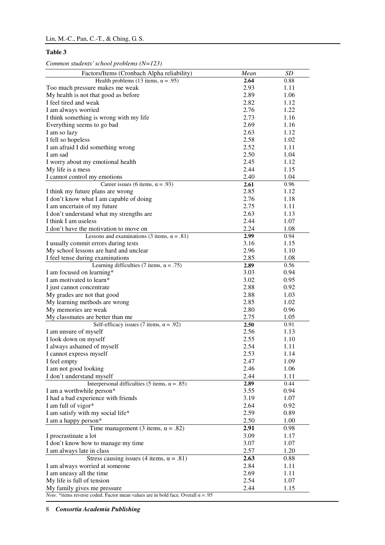*Common students' school problems (N=123)* 

| Factors/Items (Cronbach Alpha reliability)                                                      | Mean | SD   |
|-------------------------------------------------------------------------------------------------|------|------|
| Health problems (13 items, $\alpha$ = .95)                                                      | 2.64 | 0.88 |
| Too much pressure makes me weak                                                                 | 2.93 | 1.11 |
| My health is not that good as before                                                            | 2.89 | 1.06 |
| I feel tired and weak                                                                           | 2.82 | 1.12 |
| I am always worried                                                                             | 2.76 | 1.22 |
| I think something is wrong with my life                                                         | 2.73 | 1.16 |
| Everything seems to go bad                                                                      | 2.69 | 1.16 |
| I am so lazy                                                                                    | 2.63 | 1.12 |
| I fell so hopeless                                                                              | 2.58 | 1.02 |
| I am afraid I did something wrong                                                               | 2.52 | 1.11 |
| I am sad                                                                                        | 2.50 | 1.04 |
| I worry about my emotional health                                                               | 2.45 | 1.12 |
| My life is a mess                                                                               | 2.44 | 1.15 |
| I cannot control my emotions                                                                    | 2.40 | 1.04 |
| Career issues (6 items, $\alpha$ = .93)                                                         | 2.61 | 0.96 |
| I think my future plans are wrong                                                               | 2.85 | 1.12 |
| I don't know what I am capable of doing                                                         | 2.76 | 1.18 |
| I am uncertain of my future                                                                     | 2.75 | 1.11 |
| I don't understand what my strengths are                                                        | 2.63 | 1.13 |
| I think I am useless                                                                            | 2.44 | 1.07 |
| I don't have the motivation to move on                                                          | 2.24 | 1.08 |
| Lessons and examinations (3 items, $\alpha = .81$ )                                             | 2.99 | 0.94 |
| I usually commit errors during tests                                                            | 3.16 | 1.15 |
| My school lessons are hard and unclear                                                          | 2.96 | 1.10 |
| I feel tense during examinations                                                                | 2.85 | 1.08 |
| Learning difficulties (7 items, $\alpha = .75$ )                                                | 2.89 | 0.56 |
| I am focused on learning*                                                                       | 3.03 | 0.94 |
| I am motivated to learn*                                                                        | 3.02 | 0.95 |
| I just cannot concentrate                                                                       | 2.88 | 0.92 |
|                                                                                                 |      |      |
| My grades are not that good                                                                     | 2.88 | 1.03 |
| My learning methods are wrong                                                                   | 2.85 | 1.02 |
| My memories are weak                                                                            | 2.80 | 0.96 |
| My classmates are better than me                                                                | 2.75 | 1.05 |
| Self-efficacy issues (7 items, $\alpha$ = .92)                                                  | 2.50 | 0.91 |
| I am unsure of myself                                                                           | 2.56 | 1.13 |
| I look down on myself                                                                           | 2.55 | 1.10 |
| I always ashamed of myself                                                                      | 2.54 | 1.11 |
| I cannot express myself                                                                         | 2.53 | 1.14 |
| I feel empty                                                                                    | 2.47 | 1.09 |
| I am not good looking                                                                           | 2.46 | 1.06 |
| I don't understand myself                                                                       | 2.44 | 1.11 |
| Interpersonal difficulties (5 items, $\alpha = .85$ )                                           | 2.89 | 0.44 |
| I am a worthwhile person*                                                                       | 3.55 | 0.94 |
| I had a bad experience with friends                                                             | 3.19 | 1.07 |
| I am full of vigor*                                                                             | 2.64 | 0.92 |
| I am satisfy with my social life*                                                               | 2.59 | 0.89 |
| I am a happy person*                                                                            | 2.50 | 1.00 |
| Time management (3 items, $\alpha = .82$ )                                                      | 2.91 | 0.98 |
| I procrastinate a lot                                                                           | 3.09 | 1.17 |
| I don't know how to manage my time                                                              | 3.07 | 1.07 |
| I am always late in class                                                                       | 2.57 | 1.20 |
| Stress causing issues (4 items, $\alpha = .81$ )                                                | 2.63 | 0.88 |
| I am always worried at someone                                                                  | 2.84 | 1.11 |
| I am uneasy all the time                                                                        | 2.69 | 1.11 |
| My life is full of tension                                                                      | 2.54 | 1.07 |
| My family gives me pressure                                                                     | 2.44 | 1.15 |
| <i>Note</i> . *items reverse coded. Factor mean values are in bold face. Overall $\alpha = .95$ |      |      |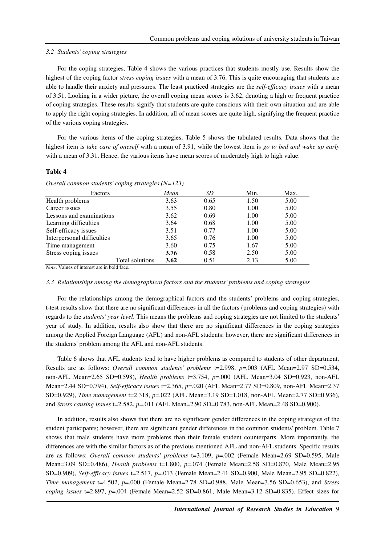#### *3.2 Students' coping strategies*

For the coping strategies, Table 4 shows the various practices that students mostly use. Results show the highest of the coping factor *stress coping issues* with a mean of 3.76. This is quite encouraging that students are able to handle their anxiety and pressures. The least practiced strategies are the *self-efficacy issues* with a mean of 3.51. Looking in a wider picture, the overall coping mean scores is 3.62, denoting a high or frequent practice of coping strategies. These results signify that students are quite conscious with their own situation and are able to apply the right coping strategies. In addition, all of mean scores are quite high, signifying the frequent practice of the various coping strategies.

For the various items of the coping strategies, Table 5 shows the tabulated results. Data shows that the highest item is *take care of oneself* with a mean of 3.91, while the lowest item is *go to bed and wake up early* with a mean of 3.31. Hence, the various items have mean scores of moderately high to high value.

#### **Table 4**

| Factors                                                         |                 | Mean | <i>SD</i> | Min. | Max. |
|-----------------------------------------------------------------|-----------------|------|-----------|------|------|
| Health problems                                                 |                 | 3.63 | 0.65      | 1.50 | 5.00 |
| Career issues                                                   |                 | 3.55 | 0.80      | 1.00 | 5.00 |
| Lessons and examinations                                        |                 | 3.62 | 0.69      | 1.00 | 5.00 |
| Learning difficulties                                           | 3.64            | 0.68 | 1.00      | 5.00 |      |
| Self-efficacy issues                                            | 3.51            | 0.77 | 1.00      | 5.00 |      |
| Interpersonal difficulties                                      |                 | 3.65 | 0.76      | 1.00 | 5.00 |
| Time management                                                 |                 | 3.60 | 0.75      | 1.67 | 5.00 |
| Stress coping issues                                            |                 | 3.76 | 0.58      | 2.50 | 5.00 |
|                                                                 | Total solutions | 3.62 | 0.51      | 2.13 | 5.00 |
| $M_{\rm tot}$ . $M_{\rm s}$ lasse of lateneat one in both force |                 |      |           |      |      |

*Note*. Values of interest are in bold face.

## *3.3 Relationships among the demographical factors and the students' problems and coping strategies*

For the relationships among the demographical factors and the students' problems and coping strategies, t-test results show that there are no significant differences in all the factors (problems and coping strategies) with regards to the *students' year level*. This means the problems and coping strategies are not limited to the students' year of study. In addition, results also show that there are no significant differences in the coping strategies among the Applied Foreign Language (AFL) and non-AFL students; however, there are significant differences in the students' problem among the AFL and non-AFL students.

Table 6 shows that AFL students tend to have higher problems as compared to students of other department. Results are as follows: *Overall common students' problems* t=2.998, *p*=.003 (AFL Mean=2.97 SD=0.534, non-AFL Mean=2.65 SD=0.598), *Health problems* t=3.754, *p*=.000 (AFL Mean=3.04 SD=0.923, non-AFL Mean=2.44 SD=0.794), *Self-efficacy issues* t=2.365, *p*=.020 (AFL Mean=2.77 SD=0.809, non-AFL Mean=2.37 SD=0.929), *Time management* t=2.318, *p*=.022 (AFL Mean=3.19 SD=1.018, non-AFL Mean=2.77 SD=0.936), and *Stress causing issues* t=2.582, *p*=.011 (AFL Mean=2.90 SD=0.783, non-AFL Mean=2.48 SD=0.900).

In addition, results also shows that there are no significant gender differences in the coping strategies of the student participants; however, there are significant gender differences in the common students' problem. Table 7 shows that male students have more problems than their female student counterparts. More importantly, the differences are with the similar factors as of the previous mentioned AFL and non-AFL students. Specific results are as follows: *Overall common students' problems* t=3.109, *p*=.002 (Female Mean=2.69 SD=0.595, Male Mean=3.09 SD=0.486), *Health problems* t=1.800, *p*=.074 (Female Mean=2.58 SD=0.870, Male Mean=2.95 SD=0.909), *Self-efficacy issues* t=2.517, *p*=.013 (Female Mean=2.41 SD=0.900, Male Mean=2.95 SD=0.822), *Time management* t=4.502, *p*=.000 (Female Mean=2.78 SD=0.988, Male Mean=3.56 SD=0.653), and *Stress coping issues* t=2.897, *p*=.004 (Female Mean=2.52 SD=0.861, Male Mean=3.12 SD=0.835). Effect sizes for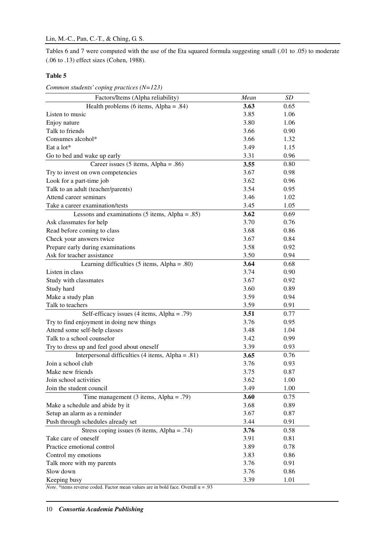Tables 6 and 7 were computed with the use of the Eta squared formula suggesting small (.01 to .05) to moderate (.06 to .13) effect sizes (Cohen, 1988).

# **Table 5**

*Common students' coping practices (N=123)* 

| Factors/Items (Alpha reliability)                 | Mean | SD   |
|---------------------------------------------------|------|------|
| Health problems (6 items, Alpha = $.84$ )         | 3.63 | 0.65 |
| Listen to music                                   | 3.85 | 1.06 |
| Enjoy nature                                      | 3.80 | 1.06 |
| Talk to friends                                   | 3.66 | 0.90 |
| Consumes alcohol*                                 | 3.66 | 1.32 |
| Eat a lot*                                        | 3.49 | 1.15 |
| Go to bed and wake up early                       | 3.31 | 0.96 |
| Career issues $(5$ items, Alpha = .86)            | 3.55 | 0.80 |
| Try to invest on own competencies                 | 3.67 | 0.98 |
| Look for a part-time job                          | 3.62 | 0.96 |
| Talk to an adult (teacher/parents)                | 3.54 | 0.95 |
| Attend career seminars                            | 3.46 | 1.02 |
| Take a career examination/tests                   | 3.45 | 1.05 |
| Lessons and examinations $(5$ items, Alpha = .85) | 3.62 | 0.69 |
| Ask classmates for help                           | 3.70 | 0.76 |
| Read before coming to class                       | 3.68 | 0.86 |
| Check your answers twice                          | 3.67 | 0.84 |
| Prepare early during examinations                 | 3.58 | 0.92 |
| Ask for teacher assistance                        | 3.50 | 0.94 |
| Learning difficulties (5 items, Alpha = .80)      | 3.64 | 0.68 |
| Listen in class                                   | 3.74 | 0.90 |
| Study with classmates                             | 3.67 | 0.92 |
| Study hard                                        | 3.60 | 0.89 |
| Make a study plan                                 | 3.59 | 0.94 |
| Talk to teachers                                  | 3.59 | 0.91 |
| Self-efficacy issues (4 items, Alpha = .79)       | 3.51 | 0.77 |
| Try to find enjoyment in doing new things         | 3.76 | 0.95 |
| Attend some self-help classes                     | 3.48 | 1.04 |
| Talk to a school counselor                        | 3.42 | 0.99 |
| Try to dress up and feel good about oneself       | 3.39 | 0.93 |
| Interpersonal difficulties (4 items, Alpha = .81) | 3.65 | 0.76 |
| Join a school club                                | 3.76 | 0.93 |
| Make new friends                                  | 3.75 | 0.87 |
| Join school activities                            | 3.62 | 1.00 |
| Join the student council                          | 3.49 | 1.00 |
| Time management $(3$ items, Alpha = .79)          | 3.60 | 0.75 |
| Make a schedule and abide by it                   | 3.68 | 0.89 |
| Setup an alarm as a reminder                      | 3.67 | 0.87 |
| Push through schedules already set                | 3.44 | 0.91 |
| Stress coping issues (6 items, Alpha = .74)       | 3.76 | 0.58 |
| Take care of oneself                              | 3.91 | 0.81 |
| Practice emotional control                        | 3.89 | 0.78 |
| Control my emotions                               | 3.83 | 0.86 |
| Talk more with my parents                         | 3.76 | 0.91 |
| Slow down                                         | 3.76 | 0.86 |
| Keeping busy                                      | 3.39 | 1.01 |

*Note*. \*items reverse coded. Factor mean values are in bold face. Overall  $\alpha = .93$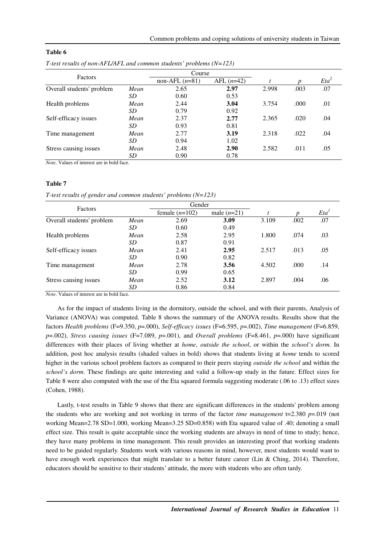| Factors                   |      |                  | Course       |       |      |         |
|---------------------------|------|------------------|--------------|-------|------|---------|
|                           |      | non-AFL $(n=81)$ | AFL $(n=42)$ |       | n    | $Eta^2$ |
| Overall students' problem | Mean | 2.65             | 2.97         | 2.998 | .003 | .07     |
|                           | SD   | 0.60             | 0.53         |       |      |         |
| Health problems           | Mean | 2.44             | 3.04         | 3.754 | .000 | .01     |
|                           | SD   | 0.79             | 0.92         |       |      |         |
| Self-efficacy issues      | Mean | 2.37             | 2.77         | 2.365 | .020 | .04     |
|                           | SD   | 0.93             | 0.81         |       |      |         |
| Time management           | Mean | 2.77             | 3.19         | 2.318 | .022 | .04     |
|                           | SD   | 0.94             | 1.02         |       |      |         |
| Stress causing issues     | Mean | 2.48             | 2.90         | 2.582 | .011 | .05     |
|                           | SD   | 0.90             | 0.78         |       |      |         |

*T-test results of non-AFL/AFL and common students' problems (N=123)* 

*Note*. Values of interest are in bold face.

## **Table 7**

*T-test results of gender and common students' problems (N=123)* 

| Factors                   |      | Gender           |               |       |      |         |
|---------------------------|------|------------------|---------------|-------|------|---------|
|                           |      | female $(n=102)$ | male $(n=21)$ |       |      | $Eta^2$ |
| Overall students' problem | Mean | 2.69             | 3.09          | 3.109 | .002 | .07     |
|                           | SD   | 0.60             | 0.49          |       |      |         |
| Health problems           | Mean | 2.58             | 2.95          | 1.800 | .074 | .03     |
|                           | SD   | 0.87             | 0.91          |       |      |         |
| Self-efficacy issues      | Mean | 2.41             | 2.95          | 2.517 | .013 | .05     |
|                           | SD   | 0.90             | 0.82          |       |      |         |
| Time management           | Mean | 2.78             | 3.56          | 4.502 | .000 | .14     |
|                           | SD   | 0.99             | 0.65          |       |      |         |
| Stress causing issues     | Mean | 2.52             | 3.12          | 2.897 | .004 | .06     |
|                           | SD   | 0.86             | 0.84          |       |      |         |

*Note*. Values of interest are in bold face.

As for the impact of students living in the dormitory, outside the school, and with their parents, Analysis of Variance (ANOVA) was computed. Table 8 shows the summary of the ANOVA results. Results show that the factors *Health problems* (F=9.350, *p*=.000), *Self-efficacy issues* (F=6.595, *p*=.002), *Time management* (F=6.859, *p*=.002), *Stress causing issues* (F=7.089, *p*=.001), and *Overall problems* (F=8.461, *p*=.000) have significant differences with their places of living whether at *home*, *outside the school*, or within the *school's dorm*. In addition, post hoc analysis results (shaded values in bold) shows that students living at *home* tends to scored higher in the various school problem factors as compared to their peers staying *outside the school* and within the *school's dorm*. These findings are quite interesting and valid a follow-up study in the future. Effect sizes for Table 8 were also computed with the use of the Eta squared formula suggesting moderate (.06 to .13) effect sizes (Cohen, 1988).

Lastly, t-test results in Table 9 shows that there are significant differences in the students' problem among the students who are working and not working in terms of the factor *time management*  $t=2.380 \text{ p} = .019$  (not working Mean=2.78 SD=1.000, working Mean=3.25 SD=0.858) with Eta squared value of .40; denoting a small effect size. This result is quite acceptable since the working students are always in need of time to study; hence, they have many problems in time management. This result provides an interesting proof that working students need to be guided regularly. Students work with various reasons in mind, however, most students would want to have enough work experiences that might translate to a better future career (Lin & Ching, 2014). Therefore, educators should be sensitive to their students' attitude, the more with students who are often tardy.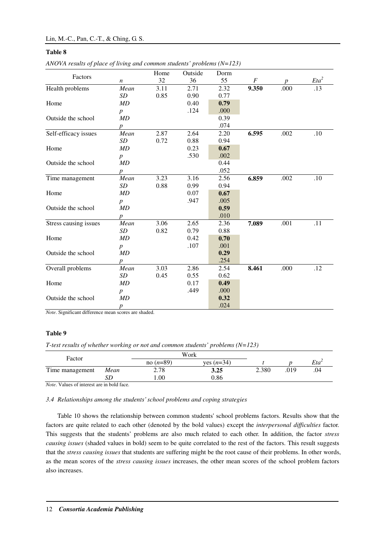|                       |                  | Home | Outside | Dorm |                  |      |         |
|-----------------------|------------------|------|---------|------|------------------|------|---------|
| Factors               | $\boldsymbol{n}$ | 32   | 36      | 55   | $\boldsymbol{F}$ |      | $Eta^2$ |
| Health problems       | Mean             | 3.11 | 2.71    | 2.32 | 9.350            | .000 | .13     |
|                       | SD               | 0.85 | 0.90    | 0.77 |                  |      |         |
| Home                  | MD               |      | 0.40    | 0.79 |                  |      |         |
|                       | $\boldsymbol{p}$ |      | .124    | .000 |                  |      |         |
| Outside the school    | MD               |      |         | 0.39 |                  |      |         |
|                       | p                |      |         | .074 |                  |      |         |
| Self-efficacy issues  | Mean             | 2.87 | 2.64    | 2.20 | 6.595            | .002 | .10     |
|                       | SD               | 0.72 | 0.88    | 0.94 |                  |      |         |
| Home                  | MD               |      | 0.23    | 0.67 |                  |      |         |
|                       | $\boldsymbol{p}$ |      | .530    | .002 |                  |      |         |
| Outside the school    | MD               |      |         | 0.44 |                  |      |         |
|                       | $\boldsymbol{p}$ |      |         | .052 |                  |      |         |
| Time management       | Mean             | 3.23 | 3.16    | 2.56 | 6.859            | .002 | .10     |
|                       | SD               | 0.88 | 0.99    | 0.94 |                  |      |         |
| Home                  | MD               |      | 0.07    | 0.67 |                  |      |         |
|                       | $\boldsymbol{p}$ |      | .947    | .005 |                  |      |         |
| Outside the school    | MD               |      |         | 0.59 |                  |      |         |
|                       | $\boldsymbol{p}$ |      |         | .010 |                  |      |         |
| Stress causing issues | Mean             | 3.06 | 2.65    | 2.36 | 7.089            | .001 | .11     |
|                       | SD               | 0.82 | 0.79    | 0.88 |                  |      |         |
| Home                  | MD               |      | 0.42    | 0.70 |                  |      |         |
|                       | $\boldsymbol{p}$ |      | .107    | .001 |                  |      |         |
| Outside the school    | MD               |      |         | 0.29 |                  |      |         |
|                       | $\boldsymbol{p}$ |      |         | .254 |                  |      |         |
| Overall problems      | Mean             | 3.03 | 2.86    | 2.54 | 8.461            | .000 | .12     |
|                       | SD               | 0.45 | 0.55    | 0.62 |                  |      |         |
| Home                  | MD               |      | 0.17    | 0.49 |                  |      |         |
|                       | $\boldsymbol{p}$ |      | .449    | .000 |                  |      |         |
| Outside the school    | MD               |      |         | 0.32 |                  |      |         |
|                       | $\boldsymbol{p}$ |      |         | .024 |                  |      |         |

*Note*. Significant difference mean scores are shaded.

# **Table 9**

*T-test results of whether working or not and common students' problems (N=123)* 

|                                                  |      |             | Work         |       |      |     |
|--------------------------------------------------|------|-------------|--------------|-------|------|-----|
| Factor                                           |      | no $(n=89)$ | ves $(n=34)$ |       |      | Eta |
| Time management                                  | Mean | 2.78        | 3.25         | 2.380 | .019 | .04 |
|                                                  | SD   | .00.        | 0.86         |       |      |     |
| .<br>$\mathbf{a}$ . The contract of $\mathbf{a}$ | .    |             |              |       |      |     |

*Note*. Values of interest are in bold face.

# *3.4 Relationships among the students' school problems and coping strategies*

Table 10 shows the relationship between common students' school problems factors. Results show that the factors are quite related to each other (denoted by the bold values) except the *interpersonal difficulties* factor. This suggests that the students' problems are also much related to each other. In addition, the factor *stress causing issues* (shaded values in bold) seem to be quite correlated to the rest of the factors. This result suggests that the *stress causing issues* that students are suffering might be the root cause of their problems. In other words, as the mean scores of the *stress causing issues* increases, the other mean scores of the school problem factors also increases.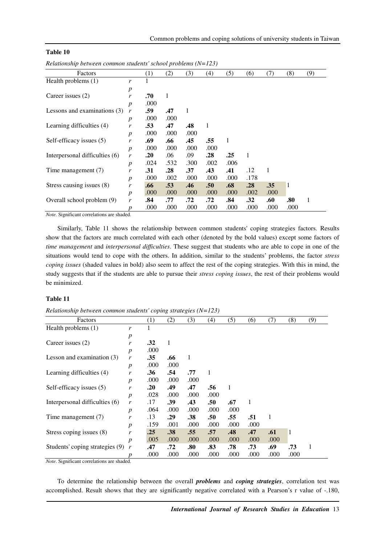| Table 10 |  |
|----------|--|
|----------|--|

| Factors                        |                                                          | (1)  | (2)  | (3)  | (4)              | (5)  | (6)  | (7)  | (8)  | (9) |
|--------------------------------|----------------------------------------------------------|------|------|------|------------------|------|------|------|------|-----|
| Health problems (1)            | r                                                        |      |      |      |                  |      |      |      |      |     |
|                                | $\boldsymbol{p}$                                         |      |      |      |                  |      |      |      |      |     |
| Career issues (2)              | r                                                        | .70  | 1    |      |                  |      |      |      |      |     |
|                                | $\boldsymbol{p}$                                         | .000 |      |      |                  |      |      |      |      |     |
| Lessons and examinations (3)   | r                                                        | .59  | .47  | 1    |                  |      |      |      |      |     |
|                                | $\boldsymbol{p}$                                         | .000 | .000 |      |                  |      |      |      |      |     |
| Learning difficulties (4)      | r                                                        | .53  | .47  | .48  | 1                |      |      |      |      |     |
|                                | $\boldsymbol{p}$                                         | .000 | .000 | .000 |                  |      |      |      |      |     |
| Self-efficacy issues (5)       | r                                                        | .69  | .66  | .45  | .55              | 1    |      |      |      |     |
|                                | $\boldsymbol{p}$                                         | .000 | .000 | .000 | .000             |      |      |      |      |     |
| Interpersonal difficulties (6) | r                                                        | .20  | .06  | .09  | .28              | .25  | 1    |      |      |     |
|                                | $\boldsymbol{p}$                                         | .024 | .532 | .300 | .002             | .006 |      |      |      |     |
| Time management (7)            | .28<br>.43<br>.41<br>.31<br>.37<br>.12<br>1<br>r         |      |      |      |                  |      |      |      |      |     |
|                                | $\boldsymbol{p}$                                         | .000 | .002 | .000 | .000             | .000 | .178 |      |      |     |
| Stress causing issues (8)      | r                                                        | .66  | .53  | .46  | .50 <sub>1</sub> | .68  | .28  | .35  | 1    |     |
|                                | .000<br>.000<br>.000<br>.000<br>.000<br>$\boldsymbol{p}$ | .002 | .000 |      |                  |      |      |      |      |     |
| Overall school problem (9)     | r                                                        | .84  | .77  | .72  | .72              | .84  | .32  | .60  | .80  | 1   |
|                                | p                                                        | .000 | .000 | .000 | .000             | .000 | .000 | .000 | .000 |     |

*Relationship between common students' school problems (N=123)* 

*Note*. Significant correlations are shaded.

Similarly, Table 11 shows the relationship between common students' coping strategies factors. Results show that the factors are much correlated with each other (denoted by the bold values) except some factors of *time management* and *interpersonal difficulties*. These suggest that students who are able to cope in one of the situations would tend to cope with the others. In addition, similar to the students' problems, the factor *stress coping issues* (shaded values in bold) also seem to affect the rest of the coping strategies. With this in mind, the study suggests that if the students are able to pursue their *stress coping issues*, the rest of their problems would be minimized.

# **Table 11**

| Factors                         |                  | (1)  | (2)  | (3)  | (4)  | (5)  | (6)  | (7)  | (8)  | (9) |
|---------------------------------|------------------|------|------|------|------|------|------|------|------|-----|
| Health problems (1)             | r                |      |      |      |      |      |      |      |      |     |
|                                 | $\boldsymbol{p}$ |      |      |      |      |      |      |      |      |     |
| Career issues (2)               | r                | .32  | 1    |      |      |      |      |      |      |     |
|                                 | $\boldsymbol{p}$ | .000 |      |      |      |      |      |      |      |     |
| Lesson and examination $(3)$    | r                | .35  | .66  | 1    |      |      |      |      |      |     |
|                                 | $\boldsymbol{p}$ | .000 | .000 |      |      |      |      |      |      |     |
| Learning difficulties (4)       | r                | .36  | .54  | .77  | 1    |      |      |      |      |     |
|                                 | $\boldsymbol{p}$ | .000 | .000 | .000 |      |      |      |      |      |     |
| Self-efficacy issues (5)        | r                | .20  | .49  | .47  | .56  | 1    |      |      |      |     |
|                                 | $\boldsymbol{p}$ | .028 | .000 | .000 | .000 |      |      |      |      |     |
| Interpersonal difficulties (6)  | r                | .17  | .39  | .43  | .50  | .67  | 1    |      |      |     |
|                                 | $\boldsymbol{p}$ | .064 | .000 | .000 | .000 | .000 |      |      |      |     |
| Time management (7)             | r                | .13  | .29  | .38  | .50  | .55  | .51  | 1    |      |     |
|                                 | $\boldsymbol{p}$ | .159 | .001 | .000 | .000 | .000 | .000 |      |      |     |
| Stress coping issues (8)        | r                | .25  | .38  | .55  | .57  | .48  | .47  | .61  | 1    |     |
|                                 | $\boldsymbol{p}$ | .005 | .000 | .000 | .000 | .000 | .000 | .000 |      |     |
| Students' coping strategies (9) | r                | .47  | .72  | .80  | .83  | .78  | .73  | .69  | .73  |     |
|                                 | р                | .000 | .000 | .000 | .000 | .000 | .000 | .000 | .000 |     |

*Relationship between common students' coping strategies (N=123)* 

*Note*. Significant correlations are shaded.

To determine the relationship between the overall *problems* and *coping strategies*, correlation test was accomplished. Result shows that they are significantly negative correlated with a Pearson's r value of -.180,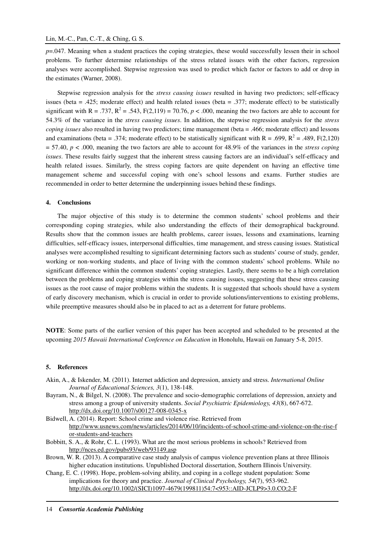*p*=.047. Meaning when a student practices the coping strategies, these would successfully lessen their in school problems. To further determine relationships of the stress related issues with the other factors, regression analyses were accomplished. Stepwise regression was used to predict which factor or factors to add or drop in the estimates (Warner, 2008).

Stepwise regression analysis for the *stress causing issues* resulted in having two predictors; self-efficacy issues (beta = .425; moderate effect) and health related issues (beta = .377; moderate effect) to be statistically significant with R = .737,  $R^2$  = .543,  $F(2,119) = 70.76$ ,  $p < .000$ , meaning the two factors are able to account for 54.3% of the variance in the *stress causing issues*. In addition, the stepwise regression analysis for the *stress coping issues* also resulted in having two predictors; time management (beta = .466; moderate effect) and lessons and examinations (beta = .374; moderate effect) to be statistically significant with  $R = .699$ ,  $R^2 = .489$ ,  $F(2,120)$ = 57.40, *p* < .000, meaning the two factors are able to account for 48.9% of the variances in the *stress coping issues*. These results fairly suggest that the inherent stress causing factors are an individual's self-efficacy and health related issues. Similarly, the stress coping factors are quite dependent on having an effective time management scheme and successful coping with one's school lessons and exams. Further studies are recommended in order to better determine the underpinning issues behind these findings.

## **4. Conclusions**

The major objective of this study is to determine the common students' school problems and their corresponding coping strategies, while also understanding the effects of their demographical background. Results show that the common issues are health problems, career issues, lessons and examinations, learning difficulties, self-efficacy issues, interpersonal difficulties, time management, and stress causing issues. Statistical analyses were accomplished resulting to significant determining factors such as students' course of study, gender, working or non-working students, and place of living with the common students' school problems. While no significant difference within the common students' coping strategies. Lastly, there seems to be a high correlation between the problems and coping strategies within the stress causing issues, suggesting that these stress causing issues as the root cause of major problems within the students. It is suggested that schools should have a system of early discovery mechanism, which is crucial in order to provide solutions/interventions to existing problems, while preemptive measures should also be in placed to act as a deterrent for future problems.

**NOTE**: Some parts of the earlier version of this paper has been accepted and scheduled to be presented at the upcoming *2015 Hawaii International Conference on Education* in Honolulu, Hawaii on January 5-8, 2015.

## **5. References**

- Akin, A., & Iskender, M. (2011). Internet addiction and depression, anxiety and stress. *International Online Journal of Educational Sciences, 3*(1), 138-148.
- Bayram, N., & Bilgel, N. (2008). The prevalence and socio-demographic correlations of depression, anxiety and stress among a group of university students. *Social Psychiatric Epidemiology, 43*(8), 667-672. http://dx.doi.org/10.1007/s00127-008-0345-x

Bidwell, A. (2014). Report: School crime and violence rise. Retrieved from http://www.usnews.com/news/articles/2014/06/10/incidents-of-school-crime-and-violence-on-the-rise-f or-students-and-teachers

- Bobbitt, S. A., & Rohr, C. L. (1993). What are the most serious problems in schools? Retrieved from http://nces.ed.gov/pubs93/web/93149.asp
- Brown, W. R. (2013). A comparative case study analysis of campus violence prevention plans at three Illinois higher education institutions. Unpublished Doctoral dissertation, Southern Illinois University.
- Chang, E. C. (1998). Hope, problem-solving ability, and coping in a college student population: Some implications for theory and practice. *Journal of Clinical Psychology, 54*(7), 953-962. http://dx.doi.org/10.1002/(SICI)1097-4679(199811)54:7<953::AID-JCLP9>3.0.CO;2-F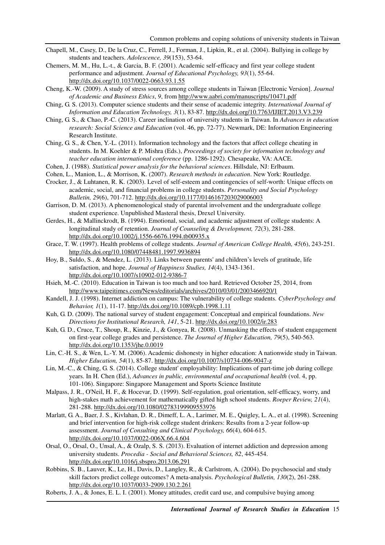- Chapell, M., Casey, D., De la Cruz, C., Ferrell, J., Forman, J., Lipkin, R., et al. (2004). Bullying in college by students and teachers. *Adolescence, 39*(153), 53-64.
- Chemers, M. M., Hu, L.-t., & Garcia, B. F. (2001). Academic self-efficacy and first year college student performance and adjustment. *Journal of Educational Psychology, 93*(1), 55-64. http://dx.doi.org/10.1037/0022-0663.93.1.55
- Cheng, K.-W. (2009). A study of stress sources among college students in Taiwan [Electronic Version]. *Journal of Academic and Business Ethics*, *9*, from http://www.aabri.com/manuscripts/10471.pdf
- Ching, G. S. (2013). Computer science students and their sense of academic integrity. *International Journal of Information and Education Technology, 3*(1), 83-87. http://dx.doi.org/10.7763/IJIET.2013.V3.239
- Ching, G. S., & Chao, P.-C. (2013). Career inclination of university students in Taiwan. In *Advances in education research: Social Science and Education* (vol. 46, pp. 72-77). Newmark, DE: Information Engineering Research Institute.
- Ching, G. S., & Chen, Y.-L. (2011). Information technology and the factors that affect college cheating in students. In M. Koehler & P. Mishra (Eds.), *Proceedings of society for information technology and teacher education international conference* (pp. 1286-1292). Chesapeake, VA: AACE.
- Cohen, J. (1988). *Statistical power analysis for the behavioral sciences*. Hillsdale, NJ: Erlbaum.
- Cohen, L., Manion, L., & Morrison, K. (2007). *Research methods in education*. New York: Routledge.
- Crocker, J., & Luhtanen, R. K. (2003). Level of self-esteem and contingencies of self-worth: Unique effects on academic, social, and financial problems in college students. *Personality and Social Psychology Bulletin, 29*(6), 701-712. http://dx.doi.org/10.1177/0146167203029006003
- Garrison, D. M. (2013). A phenomenological study of parental involvement and the undergraduate college student experience. Unpublished Masteral thesis, Drexel University.
- Gerdes, H., & Mallinckrodt, B. (1994). Emotional, social, and academic adjustment of college students: A longitudinal study of retention. *Journal of Counseling & Development, 72*(3), 281-288. http://dx.doi.org/10.1002/j.1556-6676.1994.tb00935.x
- Grace, T. W. (1997). Health problems of college students. *Journal of American College Health, 45*(6), 243-251. http://dx.doi.org/10.1080/07448481.1997.9936894
- Hoy, B., Suldo, S., & Mendez, L. (2013). Links between parents' and children's levels of gratitude, life satisfaction, and hope. *Journal of Happiness Studies, 14*(4), 1343-1361. http://dx.doi.org/10.1007/s10902-012-9386-7
- Hsieh, M.-C. (2010). Education in Taiwan is too much and too hard. Retrieved October 25, 2014, from http://www.taipeitimes.com/News/editorials/archives/2010/03/01/2003466920/1
- Kandell, J. J. (1998). Internet addiction on campus: The vulnerability of college students. *CyberPsychology and Behavior, 1*(1), 11-17. http://dx.doi.org/10.1089/cpb.1998.1.11
- Kuh, G. D. (2009). The national survey of student engagement: Conceptual and empirical foundations. *New Directions for Institutional Research, 141*, 5-21. http://dx.doi.org/10.1002/ir.283
- Kuh, G. D., Cruce, T., Shoup, R., Kinzie, J., & Gonyea, R. (2008). Unmasking the effects of student engagement on first-year college grades and persistence. *The Journal of Higher Education, 79*(5), 540-563. http://dx.doi.org/10.1353/jhe.0.0019
- Lin, C.-H. S., & Wen, L.-Y. M. (2006). Academic dishonesty in higher education: A nationwide study in Taiwan. *Higher Education, 54*(1), 85-87. http://dx.doi.org/10.1007/s10734-006-9047-z
- Lin, M.-C., & Ching, G. S. (2014). College student' employability: Implications of part-time job during college years. In H. Chen (Ed.), *Advances in public, environmental and occupational health* (vol. 4, pp. 101-106). Singapore: Singapore Management and Sports Science Institute
- Malpass, J. R., O'Neil, H. F., & Hocevar, D. (1999). Self-regulation, goal orientation, self-efficacy, worry, and high-stakes math achievement for mathematically gifted high school students. *Roeper Review, 21*(4), 281-288. http://dx.doi.org/10.1080/02783199909553976
- Marlatt, G. A., Baer, J. S., Kivlahan, D. R., Dimeff, L. A., Larimer, M. E., Quigley, L. A., et al. (1998). Screening and brief intervention for high-risk college student drinkers: Results from a 2-year follow-up assessment. *Journal of Consulting and Clinical Psychology, 66*(4), 604-615. http://dx.doi.org/10.1037/0022-006X.66.4.604
- Orsal, O., Orsal, O., Unsal, A., & Ozalp, S. S. (2013). Evaluation of internet addiction and depression among university students. *Procedia - Social and Behavioral Sciences, 82*, 445-454. http://dx.doi.org/10.1016/j.sbspro.2013.06.291
- Robbins, S. B., Lauver, K., Le, H., Davis, D., Langley, R., & Carlstrom, A. (2004). Do psychosocial and study skill factors predict college outcomes? A meta-analysis. *Psychological Bulletin, 130*(2), 261-288. http://dx.doi.org/10.1037/0033-2909.130.2.261
- Roberts, J. A., & Jones, E. L. I. (2001). Money attitudes, credit card use, and compulsive buying among